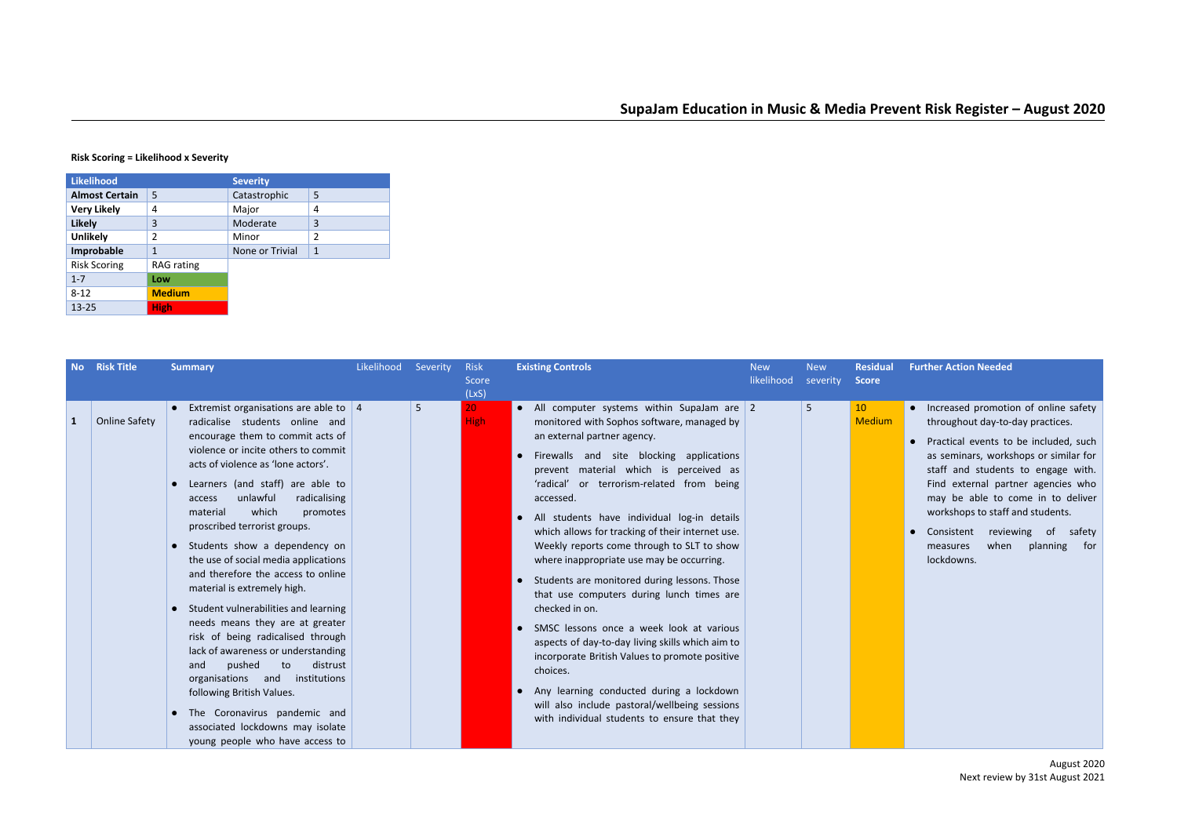## **Risk Scoring = Likelihood x Severity**

| <b>Likelihood</b>     |                   | <b>Severity</b> |                |
|-----------------------|-------------------|-----------------|----------------|
| <b>Almost Certain</b> | 5                 | Catastrophic    | 5              |
| <b>Very Likely</b>    | 4                 | Major           | 4              |
| <b>Likely</b>         | 3                 | Moderate        | 3              |
| <b>Unlikely</b>       | $\overline{2}$    | Minor           | $\overline{2}$ |
| Improbable            | $\mathbf{1}$      | None or Trivial | $\mathbf{1}$   |
| <b>Risk Scoring</b>   | <b>RAG</b> rating |                 |                |
| $1 - 7$               | Low               |                 |                |
| $8 - 12$              | <b>Medium</b>     |                 |                |
| $13 - 25$             | <b>High</b>       |                 |                |

| No | <b>Risk Title</b>    | <b>Summary</b>                                                                                                                                                                                                                                                                                                                                                                                                                                                                                                                                                                                                                                                                                                                                                                                                                                           | Likelihood | Severity | <b>Risk</b><br>Score<br>(LxS)  | <b>Existing Controls</b>                                                                                                                                                                                                                                                                                                                                                                                                                                                                                                                                                                                                                                                                                                                                                                                                                                                                                                                  | <b>New</b><br>likelihood | <b>New</b><br>severity | <b>Residual</b><br><b>Score</b> |
|----|----------------------|----------------------------------------------------------------------------------------------------------------------------------------------------------------------------------------------------------------------------------------------------------------------------------------------------------------------------------------------------------------------------------------------------------------------------------------------------------------------------------------------------------------------------------------------------------------------------------------------------------------------------------------------------------------------------------------------------------------------------------------------------------------------------------------------------------------------------------------------------------|------------|----------|--------------------------------|-------------------------------------------------------------------------------------------------------------------------------------------------------------------------------------------------------------------------------------------------------------------------------------------------------------------------------------------------------------------------------------------------------------------------------------------------------------------------------------------------------------------------------------------------------------------------------------------------------------------------------------------------------------------------------------------------------------------------------------------------------------------------------------------------------------------------------------------------------------------------------------------------------------------------------------------|--------------------------|------------------------|---------------------------------|
| 1  | <b>Online Safety</b> | Extremist organisations are able to $\vert$ 4<br>radicalise students online and<br>encourage them to commit acts of<br>violence or incite others to commit<br>acts of violence as 'lone actors'.<br>Learners (and staff) are able to<br>unlawful<br>radicalising<br>access<br>which<br>material<br>promotes<br>proscribed terrorist groups.<br>Students show a dependency on<br>the use of social media applications<br>and therefore the access to online<br>material is extremely high.<br>Student vulnerabilities and learning<br>needs means they are at greater<br>risk of being radicalised through<br>lack of awareness or understanding<br>pushed<br>distrust<br>and<br>to<br>organisations and institutions<br>following British Values.<br>The Coronavirus pandemic and<br>associated lockdowns may isolate<br>young people who have access to |            | 5        | 20 <sup>°</sup><br><b>High</b> | • All computer systems within SupaJam are $\sqrt{2}$<br>monitored with Sophos software, managed by<br>an external partner agency.<br>Firewalls and site blocking applications<br>$\bullet$<br>prevent material which is perceived as<br>'radical' or terrorism-related from being<br>accessed.<br>All students have individual log-in details<br>$\bullet$<br>which allows for tracking of their internet use.<br>Weekly reports come through to SLT to show<br>where inappropriate use may be occurring.<br>• Students are monitored during lessons. Those<br>that use computers during lunch times are<br>checked in on.<br>• SMSC lessons once a week look at various<br>aspects of day-to-day living skills which aim to<br>incorporate British Values to promote positive<br>choices.<br>• Any learning conducted during a lockdown<br>will also include pastoral/wellbeing sessions<br>with individual students to ensure that they |                          | 5                      | 10<br><b>Medium</b>             |

| al | <b>Further Action Needed</b>                                                                                                                                                                                                                                                                                                                                                                     |
|----|--------------------------------------------------------------------------------------------------------------------------------------------------------------------------------------------------------------------------------------------------------------------------------------------------------------------------------------------------------------------------------------------------|
| n  | Increased promotion of online safety<br>throughout day-to-day practices.<br>Practical events to be included, such<br>as seminars, workshops or similar for<br>staff and students to engage with.<br>Find external partner agencies who<br>may be able to come in to deliver<br>workshops to staff and students.<br>Consistent reviewing of safety<br>measures when planning<br>for<br>lockdowns. |
|    |                                                                                                                                                                                                                                                                                                                                                                                                  |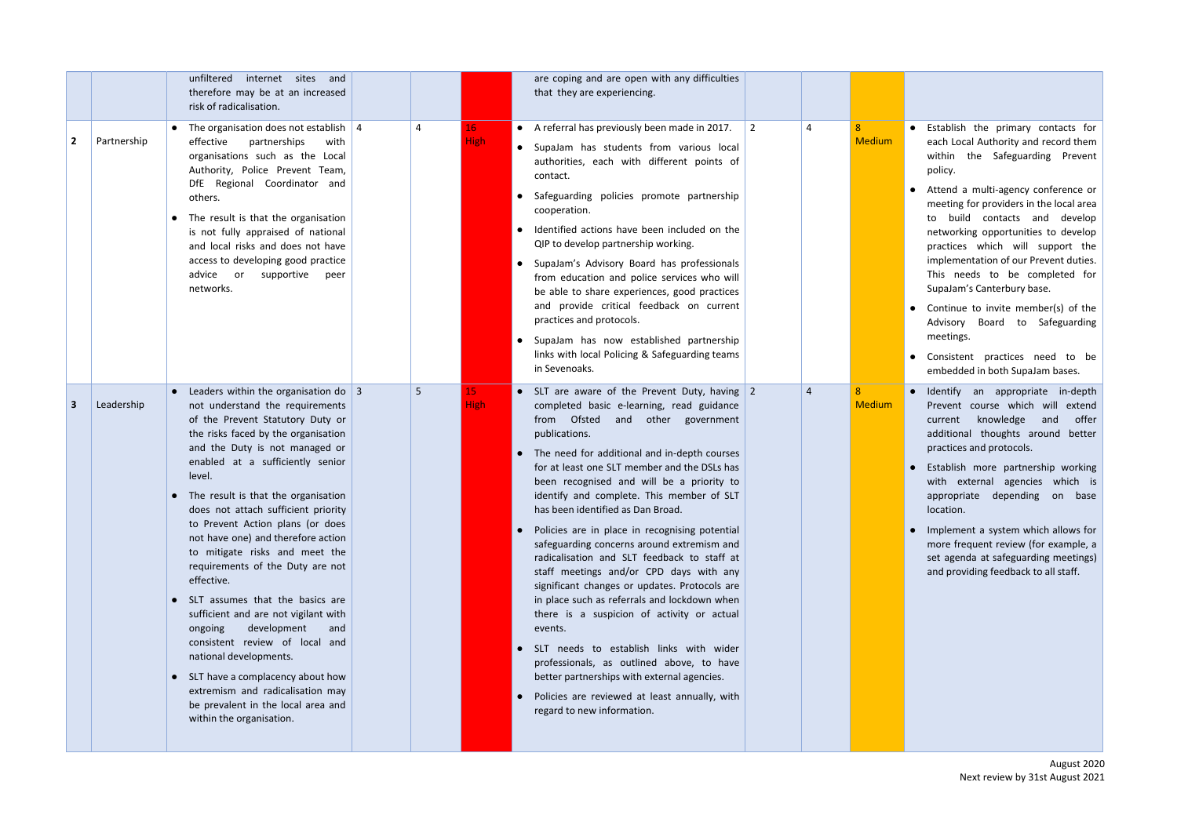## • Establish the primary contacts for each Local Authority and record them within the Safeguarding Prevent p olic y.

- Attend a multi-agency conference or meeting for providers in the local area to build contacts and develop networking opportunities to develop practices which will support the implementation of our Prevent duties. This needs to be completed for SupaJam's Canterbury base.
- Continue to invite member(s) of the Advisory Board to Safeguarding meetings.
- Consistent practices need to be embedded in both SupaJam bases.
- 
- 
- 

|                         |             | unfiltered internet sites and<br>therefore may be at an increased<br>risk of radicalisation.                                                                                                                                                                                                                                                                                                                                                                                                                                                                                                                                                                                                                                                                                                                   |   |                                | are coping and are open with any difficulties<br>that they are experiencing.                                                                                                                                                                                                                                                                                                                                                                                                                                                                                                                                                                                                                                                                                                                                                                                                                                                                                     |           |                |                                 |                                                                                                                                                                                                                                                                                                                                                                                                                                                                                                                                                                                                              |
|-------------------------|-------------|----------------------------------------------------------------------------------------------------------------------------------------------------------------------------------------------------------------------------------------------------------------------------------------------------------------------------------------------------------------------------------------------------------------------------------------------------------------------------------------------------------------------------------------------------------------------------------------------------------------------------------------------------------------------------------------------------------------------------------------------------------------------------------------------------------------|---|--------------------------------|------------------------------------------------------------------------------------------------------------------------------------------------------------------------------------------------------------------------------------------------------------------------------------------------------------------------------------------------------------------------------------------------------------------------------------------------------------------------------------------------------------------------------------------------------------------------------------------------------------------------------------------------------------------------------------------------------------------------------------------------------------------------------------------------------------------------------------------------------------------------------------------------------------------------------------------------------------------|-----------|----------------|---------------------------------|--------------------------------------------------------------------------------------------------------------------------------------------------------------------------------------------------------------------------------------------------------------------------------------------------------------------------------------------------------------------------------------------------------------------------------------------------------------------------------------------------------------------------------------------------------------------------------------------------------------|
| $\overline{2}$          | Partnership | The organisation does not establish $\vert$ 4<br>effective<br>partnerships<br>with<br>organisations such as the Local<br>Authority, Police Prevent Team,<br>DfE Regional Coordinator and<br>others.<br>The result is that the organisation<br>is not fully appraised of national<br>and local risks and does not have<br>access to developing good practice<br>advice<br>or supportive<br>peer<br>networks.                                                                                                                                                                                                                                                                                                                                                                                                    |   | 16 <sup>1</sup><br><b>High</b> | • A referral has previously been made in 2017.<br>• SupaJam has students from various local<br>authorities, each with different points of<br>contact.<br>• Safeguarding policies promote partnership<br>cooperation.<br>• Identified actions have been included on the<br>QIP to develop partnership working.<br>• SupaJam's Advisory Board has professionals<br>from education and police services who will<br>be able to share experiences, good practices<br>and provide critical feedback on current<br>practices and protocols.<br>• SupaJam has now established partnership<br>links with local Policing & Safeguarding teams<br>in Sevenoaks.                                                                                                                                                                                                                                                                                                             | $\vert$ 2 | 4              | 8 <sup>1</sup><br><b>Medium</b> | Establish the primary contacts for<br>$\bullet$<br>each Local Authority and record them<br>within the Safeguarding Prevent<br>policy.<br>Attend a multi-agency conference or<br>meeting for providers in the local area<br>to build contacts and develop<br>networking opportunities to develop<br>practices which will support the<br>implementation of our Prevent duties.<br>This needs to be completed for<br>SupaJam's Canterbury base.<br>• Continue to invite member(s) of the<br>Advisory Board to Safeguarding<br>meetings.<br>• Consistent practices need to be<br>embedded in both SupaJam bases. |
| $\overline{\mathbf{3}}$ | Leadership  | Leaders within the organisation do $\vert$ 3<br>not understand the requirements<br>of the Prevent Statutory Duty or<br>the risks faced by the organisation<br>and the Duty is not managed or<br>enabled at a sufficiently senior<br>level.<br>• The result is that the organisation<br>does not attach sufficient priority<br>to Prevent Action plans (or does<br>not have one) and therefore action<br>to mitigate risks and meet the<br>requirements of the Duty are not<br>effective.<br>• SLT assumes that the basics are<br>sufficient and are not vigilant with<br>development<br>ongoing<br>and<br>consistent review of local and<br>national developments.<br>• SLT have a complacency about how<br>extremism and radicalisation may<br>be prevalent in the local area and<br>within the organisation. | 5 | 15 <sub>1</sub><br><b>High</b> | • SLT are aware of the Prevent Duty, having 2<br>completed basic e-learning, read guidance<br>from Ofsted and other government<br>publications.<br>• The need for additional and in-depth courses<br>for at least one SLT member and the DSLs has<br>been recognised and will be a priority to<br>identify and complete. This member of SLT<br>has been identified as Dan Broad.<br>• Policies are in place in recognising potential<br>safeguarding concerns around extremism and<br>radicalisation and SLT feedback to staff at<br>staff meetings and/or CPD days with any<br>significant changes or updates. Protocols are<br>in place such as referrals and lockdown when<br>there is a suspicion of activity or actual<br>events.<br>• SLT needs to establish links with wider<br>professionals, as outlined above, to have<br>better partnerships with external agencies.<br>• Policies are reviewed at least annually, with<br>regard to new information. |           | $\overline{4}$ | 8<br><b>Medium</b>              | Identify<br>an appropriate in-depth<br>$\bullet$<br>Prevent course which will extend<br>knowledge<br>and<br>offer<br>current<br>additional thoughts around better<br>practices and protocols.<br>Establish more partnership working<br>with external agencies which is<br>appropriate depending on base<br>location.<br>• Implement a system which allows for<br>more frequent review (for example, a<br>set agenda at safeguarding meetings)<br>and providing feedback to all staff.                                                                                                                        |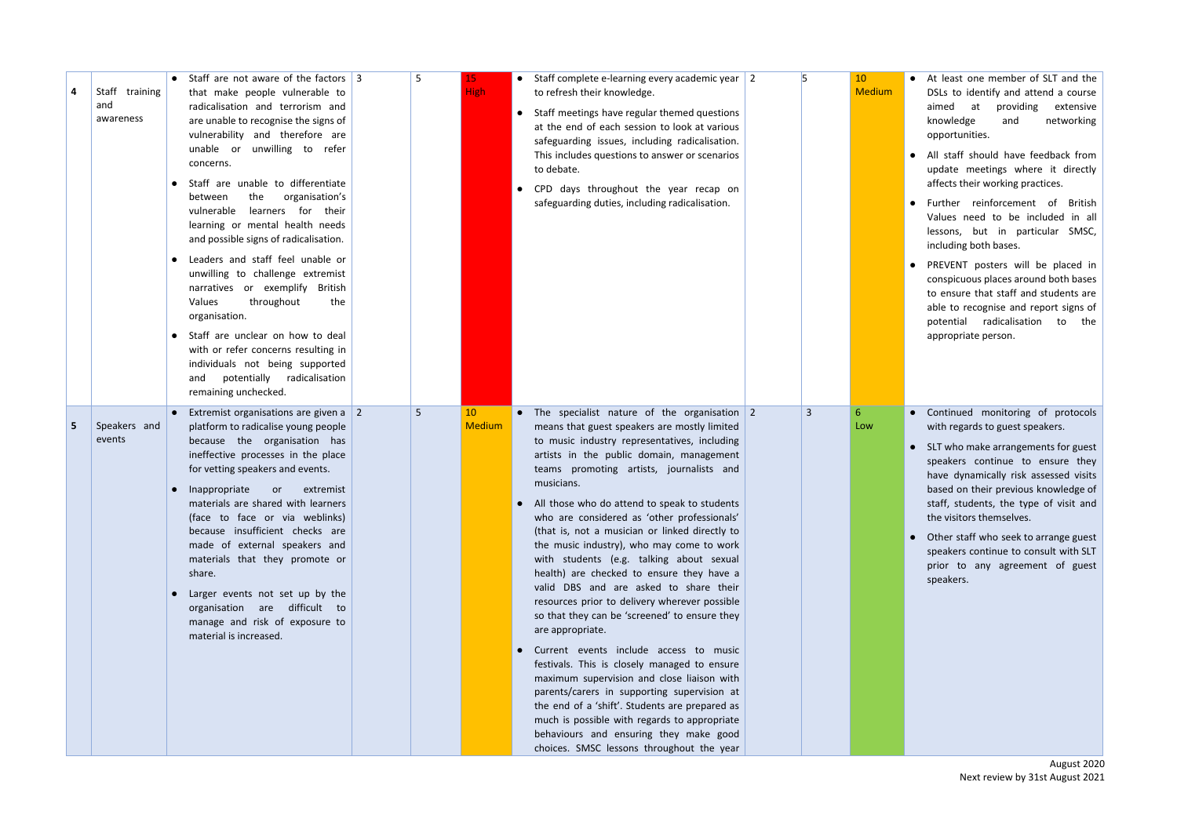- At least one member of SLT and the DSLs to identify and attend a course aimed at providing extensive k n o wle d g e a n d n e t w o r kin g opportunities.
- All staff should have feedback from update meetings where it directly affects their working practices.
- Further reinforcement of B ritis h Values need to be included in all lessons, but in particular SMSC, including both bases.
- PREVENT posters will be placed in conspicuous places around both bases to ensure that staff and students are able to recognise and report signs of potential radicalisation to the appropriate person.
- 
- 
- 

| Staff training<br>and<br>awareness | • Staff are not aware of the factors $\vert$ 3<br>that make people vulnerable to<br>radicalisation and terrorism and<br>are unable to recognise the signs of<br>vulnerability and therefore are<br>unable or unwilling to refer<br>concerns.<br>Staff are unable to differentiate<br>the<br>organisation's<br>between<br>learners for their<br>vulnerable<br>learning or mental health needs<br>and possible signs of radicalisation.<br>Leaders and staff feel unable or<br>unwilling to challenge extremist<br>narratives or exemplify British<br>the<br>Values<br>throughout<br>organisation.<br>Staff are unclear on how to deal<br>with or refer concerns resulting in<br>individuals not being supported<br>potentially<br>radicalisation<br>and<br>remaining unchecked. | 5 | 15<br><b>High</b>   | • Staff complete e-learning every academic year $\vert$ 2<br>to refresh their knowledge.<br>• Staff meetings have regular themed questions<br>at the end of each session to look at various<br>safeguarding issues, including radicalisation.<br>This includes questions to answer or scenarios<br>to debate.<br>• CPD days throughout the year recap on<br>safeguarding duties, including radicalisation.                                                                                                                                                                                                                                                                                                                                                                                                                                                                                                                                                                                                                                                                                       |                | 10 <sup>°</sup><br><b>Medium</b> | • At least one member of SLT and the<br>DSLs to identify and attend a course<br>aimed at<br>providing<br>extensive<br>knowledge<br>networking<br>and<br>opportunities.<br>• All staff should have feedback from<br>update meetings where it directly<br>affects their working practices.<br>Further reinforcement of<br><b>British</b><br>Values need to be included in all<br>lessons, but in particular SMSC,<br>including both bases.<br>PREVENT posters will be placed in<br>conspicuous places around both bases<br>to ensure that staff and students are<br>able to recognise and report signs of<br>potential radicalisation<br>to the<br>appropriate person. |
|------------------------------------|--------------------------------------------------------------------------------------------------------------------------------------------------------------------------------------------------------------------------------------------------------------------------------------------------------------------------------------------------------------------------------------------------------------------------------------------------------------------------------------------------------------------------------------------------------------------------------------------------------------------------------------------------------------------------------------------------------------------------------------------------------------------------------|---|---------------------|--------------------------------------------------------------------------------------------------------------------------------------------------------------------------------------------------------------------------------------------------------------------------------------------------------------------------------------------------------------------------------------------------------------------------------------------------------------------------------------------------------------------------------------------------------------------------------------------------------------------------------------------------------------------------------------------------------------------------------------------------------------------------------------------------------------------------------------------------------------------------------------------------------------------------------------------------------------------------------------------------------------------------------------------------------------------------------------------------|----------------|----------------------------------|----------------------------------------------------------------------------------------------------------------------------------------------------------------------------------------------------------------------------------------------------------------------------------------------------------------------------------------------------------------------------------------------------------------------------------------------------------------------------------------------------------------------------------------------------------------------------------------------------------------------------------------------------------------------|
| Speakers and<br>events             | Extremist organisations are given a $\vert$ 2<br>platform to radicalise young people<br>because the organisation has<br>ineffective processes in the place<br>for vetting speakers and events.<br>Inappropriate<br>extremist<br><b>or</b><br>materials are shared with learners<br>(face to face or via weblinks)<br>because insufficient checks are<br>made of external speakers and<br>materials that they promote or<br>share.<br>Larger events not set up by the<br>organisation are difficult to<br>manage and risk of exposure to<br>material is increased.                                                                                                                                                                                                              | 5 | 10<br><b>Medium</b> | • The specialist nature of the organisation $2$<br>means that guest speakers are mostly limited<br>to music industry representatives, including<br>artists in the public domain, management<br>teams promoting artists, journalists and<br>musicians.<br>• All those who do attend to speak to students<br>who are considered as 'other professionals'<br>(that is, not a musician or linked directly to<br>the music industry), who may come to work<br>with students (e.g. talking about sexual<br>health) are checked to ensure they have a<br>valid DBS and are asked to share their<br>resources prior to delivery wherever possible<br>so that they can be 'screened' to ensure they<br>are appropriate.<br>• Current events include access to music<br>festivals. This is closely managed to ensure<br>maximum supervision and close liaison with<br>parents/carers in supporting supervision at<br>the end of a 'shift'. Students are prepared as<br>much is possible with regards to appropriate<br>behaviours and ensuring they make good<br>choices. SMSC lessons throughout the year | $\overline{3}$ | 6<br>Low                         | • Continued monitoring of protocols<br>with regards to guest speakers.<br>• SLT who make arrangements for guest<br>speakers continue to ensure they<br>have dynamically risk assessed visits<br>based on their previous knowledge of<br>staff, students, the type of visit and<br>the visitors themselves.<br>• Other staff who seek to arrange guest<br>speakers continue to consult with SLT<br>prior to any agreement of guest<br>speakers.                                                                                                                                                                                                                       |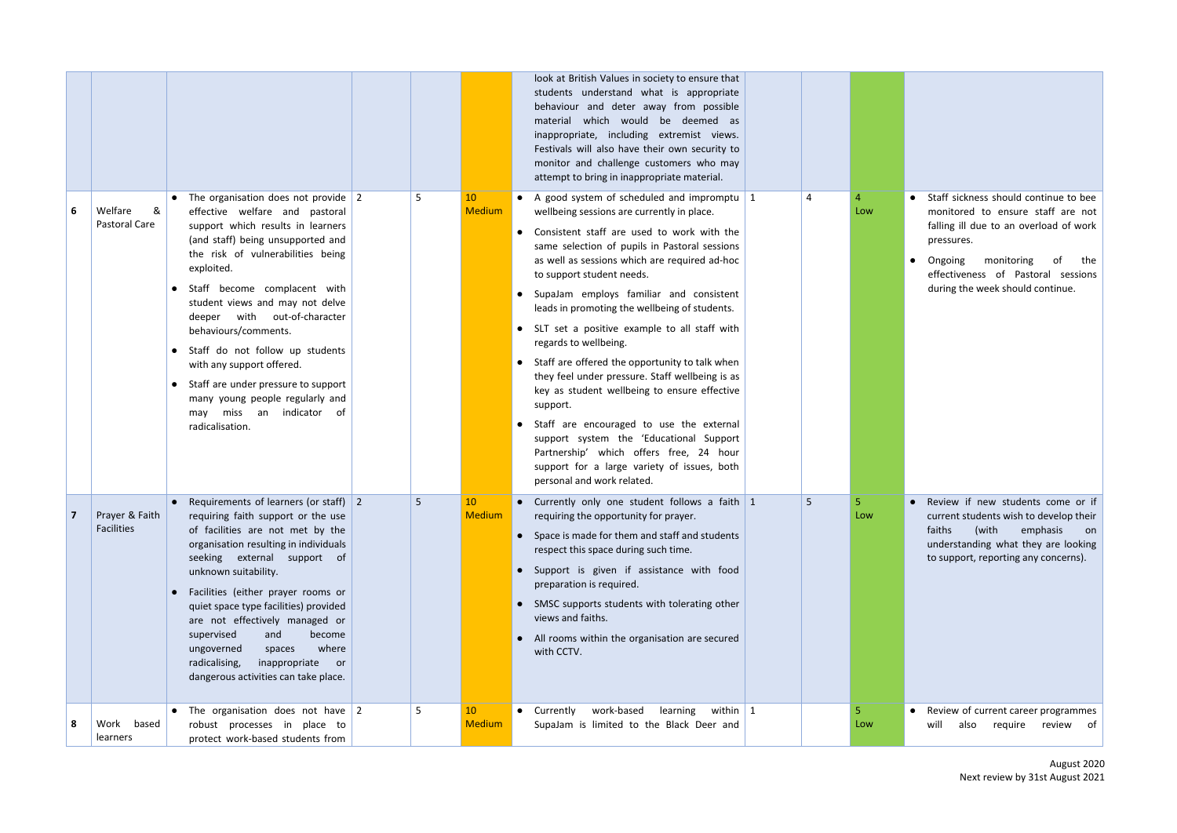|    |                               |                                                                                                                                                                                                                                                                                                                                                                                                                                                                                                                                |   |                     | look at British Values in society to ensure that<br>students understand what is appropriate<br>behaviour and deter away from possible<br>material which would be deemed as<br>inappropriate, including extremist views.<br>Festivals will also have their own security to<br>monitor and challenge customers who may<br>attempt to bring in inappropriate material.                                                                                                                                                                                                                                                                                                                                                                                                                                                                |   |     |                                                                                                                                                                                                                                              |
|----|-------------------------------|--------------------------------------------------------------------------------------------------------------------------------------------------------------------------------------------------------------------------------------------------------------------------------------------------------------------------------------------------------------------------------------------------------------------------------------------------------------------------------------------------------------------------------|---|---------------------|------------------------------------------------------------------------------------------------------------------------------------------------------------------------------------------------------------------------------------------------------------------------------------------------------------------------------------------------------------------------------------------------------------------------------------------------------------------------------------------------------------------------------------------------------------------------------------------------------------------------------------------------------------------------------------------------------------------------------------------------------------------------------------------------------------------------------------|---|-----|----------------------------------------------------------------------------------------------------------------------------------------------------------------------------------------------------------------------------------------------|
| 6  | Welfare<br>&<br>Pastoral Care | The organisation does not provide $\vert$ 2<br>effective welfare and pastoral<br>support which results in learners<br>(and staff) being unsupported and<br>the risk of vulnerabilities being<br>exploited.<br>Staff become complacent with<br>student views and may not delve<br>deeper with out-of-character<br>behaviours/comments.<br>Staff do not follow up students<br>with any support offered.<br>Staff are under pressure to support<br>many young people regularly and<br>may miss an indicator of<br>radicalisation. | 5 | 10<br><b>Medium</b> | • A good system of scheduled and impromptu   1<br>wellbeing sessions are currently in place.<br>Consistent staff are used to work with the<br>same selection of pupils in Pastoral sessions<br>as well as sessions which are required ad-hoc<br>to support student needs.<br>SupaJam employs familiar and consistent<br>leads in promoting the wellbeing of students.<br>• SLT set a positive example to all staff with<br>regards to wellbeing.<br>• Staff are offered the opportunity to talk when<br>they feel under pressure. Staff wellbeing is as<br>key as student wellbeing to ensure effective<br>support.<br>Staff are encouraged to use the external<br>support system the 'Educational Support<br>Partnership' which offers free, 24 hour<br>support for a large variety of issues, both<br>personal and work related. | 4 | Low | • Staff sickness should continue to be<br>monitored to ensure staff are no<br>falling ill due to an overload of wor<br>pressures.<br>monitoring<br>Ongoing<br>of th<br>effectiveness of Pastoral session<br>during the week should continue. |
|    | Prayer & Faith<br>Facilities  | • Requirements of learners (or staff) $ 2 $<br>requiring faith support or the use<br>of facilities are not met by the<br>organisation resulting in individuals<br>seeking external support of<br>unknown suitability.<br>Facilities (either prayer rooms or<br>quiet space type facilities) provided<br>are not effectively managed or<br>supervised<br>and<br>become<br>where<br>ungoverned<br>spaces<br>radicalising,<br>inappropriate or<br>dangerous activities can take place.                                            | 5 | 10<br><b>Medium</b> | • Currently only one student follows a faith $1$<br>requiring the opportunity for prayer.<br>• Space is made for them and staff and students<br>respect this space during such time.<br>• Support is given if assistance with food<br>preparation is required.<br>• SMSC supports students with tolerating other<br>views and faiths.<br>• All rooms within the organisation are secured<br>with CCTV.                                                                                                                                                                                                                                                                                                                                                                                                                             | 5 | Low | • Review if new students come or<br>current students wish to develop the<br>faiths<br>(with<br>emphasis<br>understanding what they are lookir<br>to support, reporting any concerns).                                                        |
| -8 | Work based<br>learners        | The organisation does not have $\sqrt{2}$<br>robust processes in place to<br>protect work-based students from                                                                                                                                                                                                                                                                                                                                                                                                                  | 5 | 10<br><b>Medium</b> | Currently<br>work-based<br>learning<br>within $\vert$ 1<br>$\bullet$<br>SupaJam is limited to the Black Deer and                                                                                                                                                                                                                                                                                                                                                                                                                                                                                                                                                                                                                                                                                                                   |   | Low | • Review of current career programme<br>also<br>require review<br>will                                                                                                                                                                       |

| Staff sickness should continue to bee<br>monitored to ensure staff are not<br>falling ill due to an overload of work<br>pressures.                                                                 |
|----------------------------------------------------------------------------------------------------------------------------------------------------------------------------------------------------|
| Ongoing monitoring of<br>the<br>effectiveness of Pastoral sessions<br>during the week should continue.                                                                                             |
| Review if new students come<br>or if<br>current students wish to develop their<br>(with<br>emphasis<br>faiths<br>on<br>understanding what they are looking<br>to support, reporting any concerns). |
| Review of current career programmes<br>will<br>also<br>require<br>review<br>of                                                                                                                     |

August 2020 Next review by 31st August 2021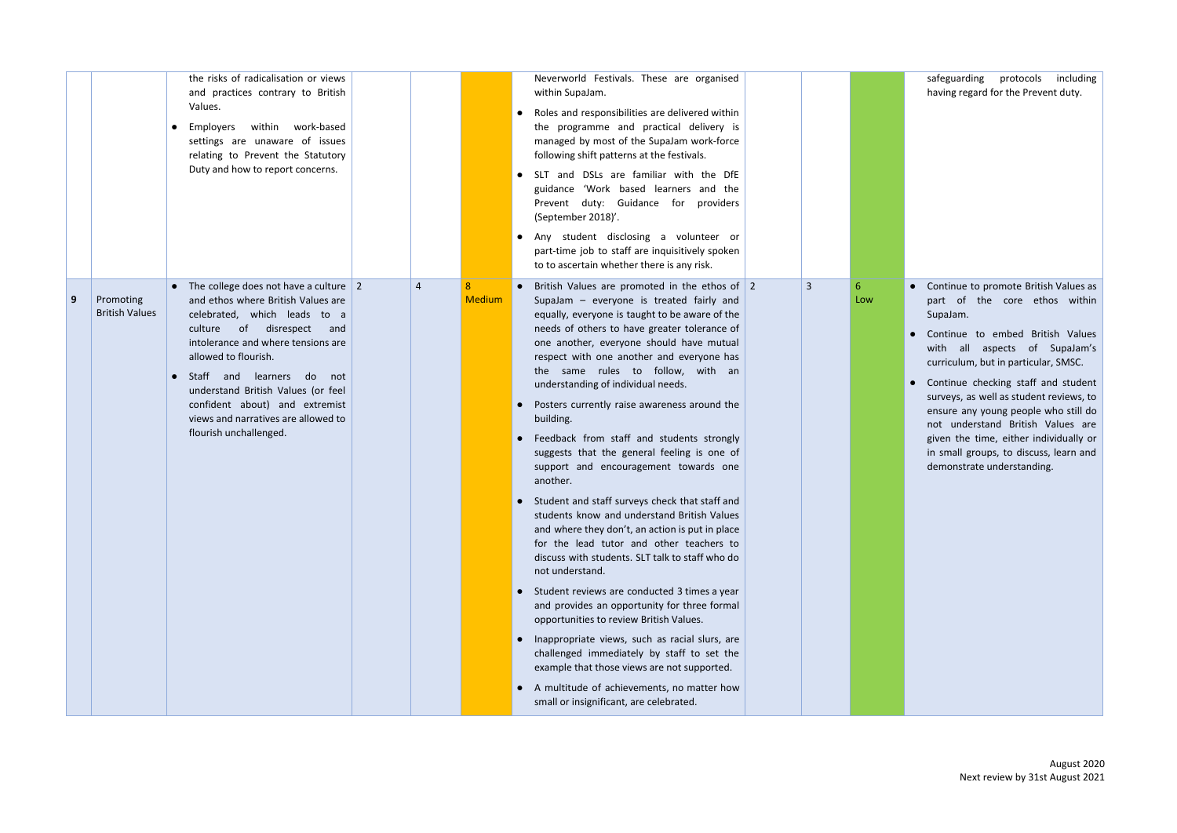safeguarding protocols including having regard for the Prevent duty.

|   |                                    | the risks of radicalisation or views<br>and practices contrary to British<br>Values.<br>within work-based<br>Employers<br>settings are unaware of issues<br>relating to Prevent the Statutory<br>Duty and how to report concerns.                                                                                                                                                          |                |                    | Neverworld Festivals. These are organised<br>within SupaJam.<br>Roles and responsibilities are delivered within<br>the programme and practical delivery is<br>managed by most of the SupaJam work-force<br>following shift patterns at the festivals.<br>SLT and DSLs are familiar with the DfE<br>guidance 'Work based learners and the<br>Prevent duty: Guidance for providers<br>(September 2018)'.<br>Any student disclosing a volunteer or<br>part-time job to staff are inquisitively spoken<br>to to ascertain whether there is any risk.                                                                                                                                                                                                                                                                                                                                                                                                                                                                                                                                                                                                                                                                                                                                            |   |          |
|---|------------------------------------|--------------------------------------------------------------------------------------------------------------------------------------------------------------------------------------------------------------------------------------------------------------------------------------------------------------------------------------------------------------------------------------------|----------------|--------------------|---------------------------------------------------------------------------------------------------------------------------------------------------------------------------------------------------------------------------------------------------------------------------------------------------------------------------------------------------------------------------------------------------------------------------------------------------------------------------------------------------------------------------------------------------------------------------------------------------------------------------------------------------------------------------------------------------------------------------------------------------------------------------------------------------------------------------------------------------------------------------------------------------------------------------------------------------------------------------------------------------------------------------------------------------------------------------------------------------------------------------------------------------------------------------------------------------------------------------------------------------------------------------------------------|---|----------|
| 9 | Promoting<br><b>British Values</b> | • The college does not have a culture 2<br>and ethos where British Values are<br>celebrated, which leads to a<br>of disrespect<br>culture<br>and<br>intolerance and where tensions are<br>allowed to flourish.<br>Staff and learners<br>do<br>not<br>understand British Values (or feel<br>confident about) and extremist<br>views and narratives are allowed to<br>flourish unchallenged. | $\overline{4}$ | 8<br><b>Medium</b> | British Values are promoted in the ethos of $\vert$ 2<br>$\bullet$<br>SupaJam - everyone is treated fairly and<br>equally, everyone is taught to be aware of the<br>needs of others to have greater tolerance of<br>one another, everyone should have mutual<br>respect with one another and everyone has<br>the same rules to follow, with an<br>understanding of individual needs.<br>Posters currently raise awareness around the<br>building.<br>• Feedback from staff and students strongly<br>suggests that the general feeling is one of<br>support and encouragement towards one<br>another.<br>• Student and staff surveys check that staff and<br>students know and understand British Values<br>and where they don't, an action is put in place<br>for the lead tutor and other teachers to<br>discuss with students. SLT talk to staff who do<br>not understand.<br>• Student reviews are conducted 3 times a year<br>and provides an opportunity for three formal<br>opportunities to review British Values.<br>Inappropriate views, such as racial slurs, are<br>$\bullet$<br>challenged immediately by staff to set the<br>example that those views are not supported.<br>A multitude of achievements, no matter how<br>$\bullet$<br>small or insignificant, are celebrated. | 3 | 6<br>Low |

- Continue to promote British Values as part of the core ethos within SupaJam.
- Continue to embed British Values with all aspects of SupaJam's curriculum, but in particular, SMSC.
- Continue checking staff and student surveys, as well as student reviews, to ensure any young people who still do not understand British Values are given the time, either individually or in small groups, to discuss, learn and demonstrate understanding.